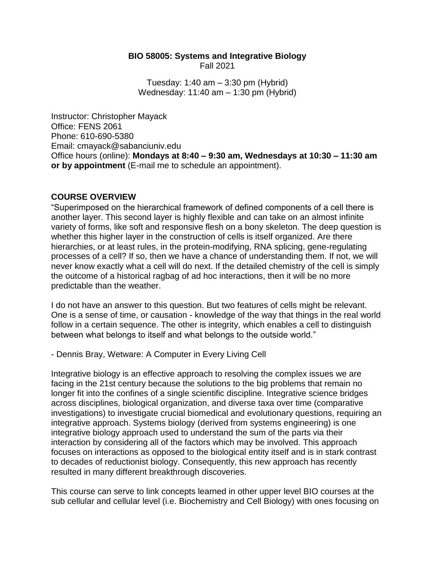#### **BIO 58005: Systems and Integrative Biology** Fall 2021

Tuesday: 1:40 am – 3:30 pm (Hybrid) Wednesday: 11:40 am – 1:30 pm (Hybrid)

Instructor: Christopher Mayack Office: FENS 2061 Phone: 610-690-5380 Email: cmayack@sabanciuniv.edu Office hours (online): **Mondays at 8:40 – 9:30 am, Wednesdays at 10:30 – 11:30 am or by appointment** (E-mail me to schedule an appointment).

## **COURSE OVERVIEW**

"Superimposed on the hierarchical framework of defined components of a cell there is another layer. This second layer is highly flexible and can take on an almost infinite variety of forms, like soft and responsive flesh on a bony skeleton. The deep question is whether this higher layer in the construction of cells is itself organized. Are there hierarchies, or at least rules, in the protein-modifying, RNA splicing, gene-regulating processes of a cell? If so, then we have a chance of understanding them. If not, we will never know exactly what a cell will do next. If the detailed chemistry of the cell is simply the outcome of a historical ragbag of ad hoc interactions, then it will be no more predictable than the weather.

I do not have an answer to this question. But two features of cells might be relevant. One is a sense of time, or causation - knowledge of the way that things in the real world follow in a certain sequence. The other is integrity, which enables a cell to distinguish between what belongs to itself and what belongs to the outside world."

- Dennis Bray, Wetware: A Computer in Every Living Cell

Integrative biology is an effective approach to resolving the complex issues we are facing in the 21st century because the solutions to the big problems that remain no longer fit into the confines of a single scientific discipline. Integrative science bridges across disciplines, biological organization, and diverse taxa over time (comparative investigations) to investigate crucial biomedical and evolutionary questions, requiring an integrative approach. Systems biology (derived from systems engineering) is one integrative biology approach used to understand the sum of the parts via their interaction by considering all of the factors which may be involved. This approach focuses on interactions as opposed to the biological entity itself and is in stark contrast to decades of reductionist biology. Consequently, this new approach has recently resulted in many different breakthrough discoveries.

This course can serve to link concepts learned in other upper level BIO courses at the sub cellular and cellular level (i.e. Biochemistry and Cell Biology) with ones focusing on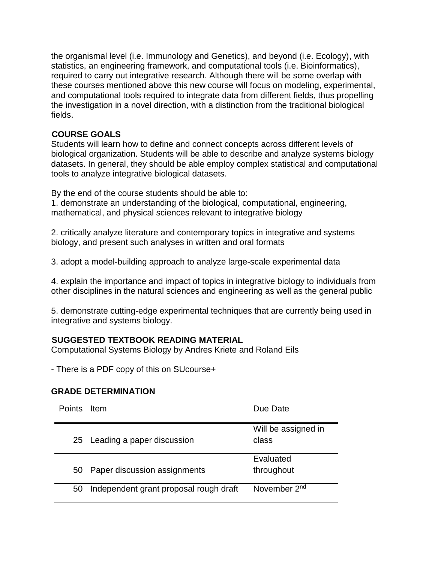the organismal level (i.e. Immunology and Genetics), and beyond (i.e. Ecology), with statistics, an engineering framework, and computational tools (i.e. Bioinformatics), required to carry out integrative research. Although there will be some overlap with these courses mentioned above this new course will focus on modeling, experimental, and computational tools required to integrate data from different fields, thus propelling the investigation in a novel direction, with a distinction from the traditional biological fields.

# **COURSE GOALS**

Students will learn how to define and connect concepts across different levels of biological organization. Students will be able to describe and analyze systems biology datasets. In general, they should be able employ complex statistical and computational tools to analyze integrative biological datasets.

By the end of the course students should be able to:

1. demonstrate an understanding of the biological, computational, engineering, mathematical, and physical sciences relevant to integrative biology

2. critically analyze literature and contemporary topics in integrative and systems biology, and present such analyses in written and oral formats

3. adopt a model-building approach to analyze large-scale experimental data

4. explain the importance and impact of topics in integrative biology to individuals from other disciplines in the natural sciences and engineering as well as the general public

5. demonstrate cutting-edge experimental techniques that are currently being used in integrative and systems biology.

# **SUGGESTED TEXTBOOK READING MATERIAL**

Computational Systems Biology by Andres Kriete and Roland Eils

- There is a PDF copy of this on SUcourse+

## **GRADE DETERMINATION**

| Points Item |                                        | Due Date                 |
|-------------|----------------------------------------|--------------------------|
|             |                                        | Will be assigned in      |
|             | 25 Leading a paper discussion          | class                    |
|             |                                        | Evaluated                |
|             | 50 Paper discussion assignments        | throughout               |
| 50          | Independent grant proposal rough draft | November 2 <sup>nd</sup> |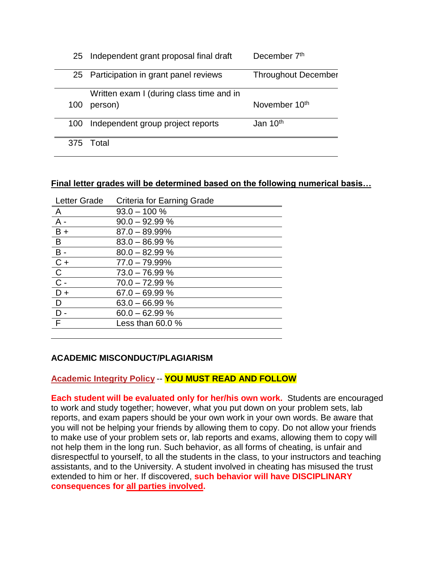|     | 25 Independent grant proposal final draft | December 7th               |
|-----|-------------------------------------------|----------------------------|
|     | 25 Participation in grant panel reviews   | <b>Throughout December</b> |
|     | Written exam I (during class time and in  |                            |
| 100 | person)                                   | November 10 <sup>th</sup>  |
| 100 | Independent group project reports         | Jan 10 <sup>th</sup>       |
|     | 375 Total                                 |                            |

# **Final letter grades will be determined based on the following numerical basis…**

| <b>Letter Grade</b> | Criteria for Earning Grade |
|---------------------|----------------------------|
| $\overline{A}$      | $93.0 - 100 \%$            |
| $A^{-}$             | $90.0 - 92.99 %$           |
| $B +$               | $87.0 - 89.99\%$           |
| $\overline{B}$      | $83.0 - 86.99 %$           |
| $B -$               | $80.0 - 82.99 %$           |
| $\overline{C}$ +    | $77.0 - 79.99\%$           |
| $\overline{C}$      | $73.0 - 76.99 %$           |
| $\overline{C}$ -    | $70.0 - 72.99 %$           |
| $D +$               | $67.0 - 69.99 %$           |
| D                   | $63.0 - 66.99 %$           |
| D                   | $60.0 - 62.99 %$           |
| F                   | Less than $60.0\%$         |
|                     |                            |

## **ACADEMIC MISCONDUCT/PLAGIARISM**

## **Academic Integrity Policy** -- **YOU MUST READ AND FOLLOW**

**Each student will be evaluated only for her/his own work.** Students are encouraged to work and study together; however, what you put down on your problem sets, lab reports, and exam papers should be your own work in your own words. Be aware that you will not be helping your friends by allowing them to copy. Do not allow your friends to make use of your problem sets or, lab reports and exams, allowing them to copy will not help them in the long run. Such behavior, as all forms of cheating, is unfair and disrespectful to yourself, to all the students in the class, to your instructors and teaching assistants, and to the University. A student involved in cheating has misused the trust extended to him or her. If discovered, **such behavior will have DISCIPLINARY consequences for all parties involved.**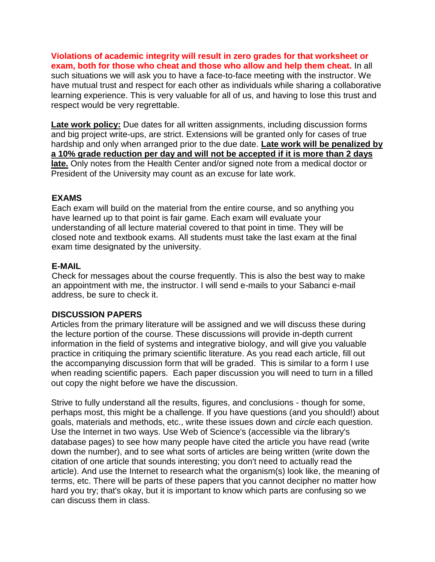**Violations of academic integrity will result in zero grades for that worksheet or exam, both for those who cheat and those who allow and help them cheat.** In all such situations we will ask you to have a face-to-face meeting with the instructor. We have mutual trust and respect for each other as individuals while sharing a collaborative learning experience. This is very valuable for all of us, and having to lose this trust and respect would be very regrettable.

**Late work policy:** Due dates for all written assignments, including discussion forms and big project write-ups, are strict. Extensions will be granted only for cases of true hardship and only when arranged prior to the due date. **Late work will be penalized by a 10% grade reduction per day and will not be accepted if it is more than 2 days late.** Only notes from the Health Center and/or signed note from a medical doctor or President of the University may count as an excuse for late work.

#### **EXAMS**

Each exam will build on the material from the entire course, and so anything you have learned up to that point is fair game. Each exam will evaluate your understanding of all lecture material covered to that point in time. They will be closed note and textbook exams. All students must take the last exam at the final exam time designated by the university.

#### **E-MAIL**

Check for messages about the course frequently. This is also the best way to make an appointment with me, the instructor. I will send e-mails to your Sabanci e-mail address, be sure to check it.

## **DISCUSSION PAPERS**

Articles from the primary literature will be assigned and we will discuss these during the lecture portion of the course. These discussions will provide in-depth current information in the field of systems and integrative biology, and will give you valuable practice in critiquing the primary scientific literature. As you read each article, fill out the accompanying discussion form that will be graded. This is similar to a form I use when reading scientific papers. Each paper discussion you will need to turn in a filled out copy the night before we have the discussion.

Strive to fully understand all the results, figures, and conclusions - though for some, perhaps most, this might be a challenge. If you have questions (and you should!) about goals, materials and methods, etc., write these issues down and *circle* each question. Use the Internet in two ways. Use Web of Science's (accessible via the library's database pages) to see how many people have cited the article you have read (write down the number), and to see what sorts of articles are being written (write down the citation of one article that sounds interesting; you don't need to actually read the article). And use the Internet to research what the organism(s) look like, the meaning of terms, etc. There will be parts of these papers that you cannot decipher no matter how hard you try; that's okay, but it is important to know which parts are confusing so we can discuss them in class.